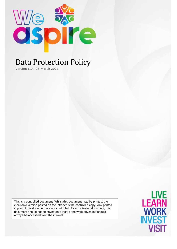

# Data Protection Policy

Version 6.0, 26 March 2021

This is a controlled document. Whilst this document may be printed, the electronic version posted on the intranet is the controlled copy. Any printed copies of this document are not controlled. As a controlled document, this document should not be saved onto local or network drives but should always be accessed from the intranet.

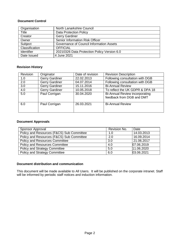#### **Document Control**

| Organisation      | North Lanarkshire Council                   |  |
|-------------------|---------------------------------------------|--|
| Title             | <b>Data Protection Policy</b>               |  |
| Creator           | <b>Gerry Gardiner</b>                       |  |
| Owner             | Senior Information Risk Officer             |  |
| Subject           | Governance of Council Information Assets    |  |
| Classification    | <b>OFFICIAL</b>                             |  |
| <b>Identifier</b> | 20210326 Data Protection Policy Version 6.0 |  |
| Date Issued       | 4 June 2021                                 |  |

#### **Revision History**

| Revision | Originator            | Date of revision | <b>Revision Description</b>                                 |
|----------|-----------------------|------------------|-------------------------------------------------------------|
| 1.0      | <b>Gerry Gardiner</b> | 22.02.2013       | Following consultation with DGB                             |
| 2.0      | <b>Gerry Gardiner</b> | 04.07.2014       | Following consultation with DGB                             |
| 3.0      | <b>Gerry Gardiner</b> | 15.11.2016       | <b>Bi-Annual Review</b>                                     |
| 4.0      | Gerry Gardiner        | 10.05.2018       | To reflect the UK GDPR & DPA 18                             |
| 5.0      | Paul Corrigan         | 30.04.2020       | Bi-Annual Review incorporating<br>feedback from DGB and DMT |
| 6.0      | Paul Corrigan         | 26.03.2021       | <b>Bi-Annual Review</b>                                     |

#### **Document Approvals**

| Sponsor Approval                          | Revision No. | Date       |
|-------------------------------------------|--------------|------------|
| Policy and Resources (F&CS) Sub Committee | 1.0          | 14.03.2013 |
| Policy and Resources (F&CS) Sub Committee | 2.0          | 16.09.2014 |
| <b>Policy and Resources Committee</b>     | 3.0          | 21.06.2017 |
| <b>Policy and Resources Committee</b>     | 4.0          | 07.06.2019 |
| <b>Policy and Strategy Committee</b>      | 5.0          | 11.06.2020 |
| <b>Policy and Strategy Committee</b>      | 6.0          | 03.06.2021 |

#### **Document distribution and communication**

This document will be made available to All Users. It will be published on the corporate intranet. Staff will be informed by periodic staff notices and induction information.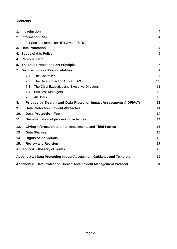#### **Contents**

|     | 1. Introduction                                                         | 4              |  |  |  |
|-----|-------------------------------------------------------------------------|----------------|--|--|--|
|     | 2. Information Risk                                                     |                |  |  |  |
|     | 2.1 Senior Information Risk Owner (SIRO)                                |                |  |  |  |
|     | 3. Data Protection                                                      | 4              |  |  |  |
|     | 4. Scope of this Policy                                                 | 5              |  |  |  |
|     | 4. Personal Data                                                        | 5              |  |  |  |
|     | 5. The Data Protection (DP) Principles                                  | 6              |  |  |  |
|     | 7. Discharging our Responsibilities                                     | $\overline{7}$ |  |  |  |
|     | 7.1<br><b>The Controller</b>                                            | $\overline{7}$ |  |  |  |
|     | 7.2 The Data Protection Officer (DPO)                                   | 11             |  |  |  |
|     | The Chief Executive and Executive Directors<br>7.3                      | 11             |  |  |  |
|     | <b>Business Managers</b><br>7.4                                         | 12             |  |  |  |
|     | All Users<br>7.5                                                        | 13             |  |  |  |
| 8.  | Privacy by Design and Data Protection Impact Assessments.("DPIAs")      | 13             |  |  |  |
| 9.  | <b>Data Protection Incidents/Breaches</b><br>14                         |                |  |  |  |
| 10. | 14<br><b>Data Protection Fee</b>                                        |                |  |  |  |
| 11. | Documentation of processing activities                                  | 14             |  |  |  |
|     | 12.<br><b>Giving Information to other Departments and Third Parties</b> |                |  |  |  |
| 13. | <b>Data Sharing</b>                                                     | 15             |  |  |  |
| 14. | <b>Rights of Individuals</b>                                            | 16             |  |  |  |
| 15. | <b>Review and Revision</b><br>17                                        |                |  |  |  |
|     | <b>Appendix A: Glossary of Terms</b>                                    | 18             |  |  |  |
|     | Appendix 1: Data Protection Impact Assessment Guidance and Template     | 19             |  |  |  |
|     | Appendix 2: Data Protection Breach And Incident Management Protocol     | 31             |  |  |  |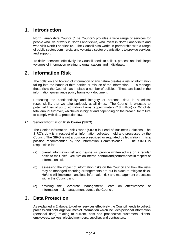### **1. Introduction**

North Lanarkshire Council ("The Council") provides a wide range of services for people who live or work in North Lanarkshire, who invest in North Lanarkshire and who visit North Lanarkshire. The Council also works in partnership with a range of public sector, commercial and voluntary sector organisations to provide services and support.

To deliver services effectively the Council needs to collect, process and hold large volumes of information relating to organisations and individuals.

### **2. Information Risk**

The collation and holding of information of any nature creates a risk of information falling into the hands of third parties or misuse of the information. To manage those risks the Council has in place a number of policies. These are listed in the information governance policy framework document.

Protecting the confidentiality and integrity of personal data is a critical responsibility that we take seriously at all times. The Council is exposed to potential fines of up to 20 million Euros (approximately £18 million) or 4% of its total annual turnover, whichever is higher and depending on the breach, for failure to comply with data protection law.

#### **2.1 Senior Information Risk Owner (SIRO)**

The Senior Information Risk Owner (SIRO) is Head of Business Solutions. The SIRO's duty is in respect of all information collected, held and processed by the Council. The SIRO is not a position prescribed or regulated by legislation. It is a position recommended by the Information Commissioner. The SIRO is responsible for:-

- (a) overall information risk and he/she will provide written advice on a regular basis to the Chief Executive on internal control and performance in respect of information risk;
- (b) assessing the impact of information risks on the Council and how the risks may be managed ensuring arrangements are put in place to mitigate risks. He/she will implement and lead information risk and management processes within the Council; and
- (c) advising the Corporate Management Team on effectiveness of information risk management across the Council.

### **3. Data Protection**

As explained in 2 above, to deliver services effectively the Council needs to collect, process and hold large volumes of information which includes personal information (personal data) relating to current, past and prospective customers, clients, employees, workers, elected members, suppliers and contractors.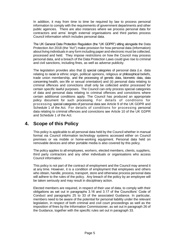In addition, it may from time to time be required by law to process personal information to comply with the requirements of government departments and other public agencies. There are also instances where we process personal data for contractors and arms' length external organisations and third parties process Council information which includes personal data.

The UK General Data Protection Regulation (the "UK GDPR") sitting alongside the Data Protection Act 2018 (the "Act") make provision for how personal data (information) about living individuals in any form including paper and electronic must be collected, processed and held. They impose restrictions on how the Council may process personal data, and a breach of the Data Protection Laws could give rise to criminal and civil sanctions, including fines, as well as adverse publicity.

The legislation provides also that (i) special categories of personal data (i.e. data relating to racial or ethnic origin, political opinions, religious or philosophical beliefs, trade union membership, and the processing of genetic data, biometric data, data concerning health, sex life or sexual orientation) and (ii) personal data relating to criminal offences and convictions shall only be collected and/or processed for certain specific lawful purposes. The Council can only process special categories of data and personal data relating to criminal offences and convictions where certain additional conditions apply. The Council has produced an appropriate policy document for such processing. For details of conditions for processing special categories of personal data see Article 9 of the UK GDPR and Schedule 1 of the Act. For details of conditions for processing personal data relating to criminal offences and convictions see Article 10 of the UK GDPR and Schedule 1 of the Act.

### **4. Scope of this Policy**

This policy is applicable to all personal data held by the Council whether in manual format via Council information technology systems accessed either on Council premises or via mobile or home-working equipment. Personal data held on removable devices and other portable media is also covered by this policy.

The policy applies to all employees, workers, elected members, clients, suppliers, third party contractors and any other individuals or organisations who access Council information.

This policy is not part of the contract of employment and the Council may amend it at any time. However, it is a condition of employment that employees and others who obtain, handle, process, transport, store and otherwise process personal data will adhere to the rules of the policy. Any breach of the policy by an employee will be taken seriously and may result in disciplinary action.

Elected members are required, in respect of their use of data, to comply with their obligations as set out in paragraphs 3.16 and 3.17 of the Councillors' Code of Conduct and paragraphs 25 to 33 of the associated Guidance. In particular, members need to be aware of the potential for personal liability under the relevant legislation, in respect of both criminal and civil court proceedings as well as the imposition of fines by the Information Commissioner, as set out in paragraph 26 of the Guidance, together with the specific rules set out in paragraph 33.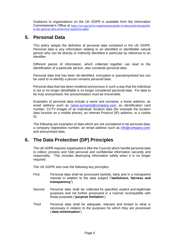Guidance to organisations on the UK GDPR is available from the Information Commissioner's Office at [https://ico.org.uk/for-organisations/guide-to-data-protection/guide](https://ico.org.uk/for-organisations/guide-to-data-protection/guide-to-the-general-data-protection-regulation-gdpr/)[to-the-general-data-protection-regulation-gdpr/](https://ico.org.uk/for-organisations/guide-to-data-protection/guide-to-the-general-data-protection-regulation-gdpr/)

### **5. Personal Data**

This policy adopts the definition of personal data contained in the UK GDPR. Personal data is any information relating to an identified or identifiable natural person who can be directly or indirectly identified in particular by reference to an identifier.

Different pieces of information, which collected together can lead to the identification of a particular person, also constitute personal data.

Personal data that has been de-identified, encrypted or pseudonymised but can be used to re-identify a person remains personal data.

Personal data that has been rendered anonymous in such a way that the individual is not or no longer identifiable is no longer considered personal data. For data to be truly anonymised, the anonymisation must be irreversible.

Examples of personal data include a name and surname; a home address; an email address such as [name.surname@company.com;](mailto:name.surname@company.com) an identification card number; CCTV images of an individual; location data (for example the location data function on a mobile phone); an Internet Protocol (IP) address; or a cookie ID.

The following are examples of data which are not considered to be personal data: a company registration number; an email address such as [info@company.com;](mailto:info@company.com) and anonymised data.

### **6. The Data Protection (DP) Principles**

The UK GDPR requires organisations (like the Council) which handle personal data to collect, process and hold personal and confidential information securely and responsibly. This includes destroying information safely when it is no longer required.

The UK GDPR sets outs the following key principles:

- First Personal data shall be processed lawfully, fairly and in a transparent manner in relation to the data subject ('**lawfulness, fairness and transparency'**).
- Second Personal data shall be collected for specified, explicit and legitimate purposes and not further processed in a manner incompatible with those purposes ('**purpose limitation**').
- Third Personal data shall be adequate, relevant and limited to what is necessary in relation to the purposes for which they are processed ('**data minimisation**').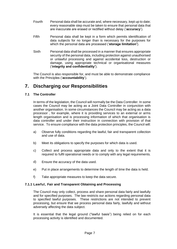- Fourth Personal data shall be accurate and, where necessary, kept up to date; every reasonable step must be taken to ensure that personal data that are inaccurate are erased or rectified without delay ('**accuracy**').
- Fifth Personal data shall be kept in a form which permits identification of data subjects for no longer than is necessary for the purposes for which the personal data are processed ('**storage limitation'**).
- Sixth Personal data shall be processed in a manner that ensures appropriate security of the personal data, including protection against unauthorised or unlawful processing and against accidental loss, destruction or damage, using appropriate technical or organisational measures ('**integrity and confidentiality'**).

The Council is also responsible for, and must be able to demonstrate compliance with the Principles ('**accountability**').

### **7. Discharging our Responsibilities**

#### **7.1 The Controller**

In terms of the legislation, the Council will normally be the Data Controller. In some cases the Council may be acting as a Joint Data Controller in conjunction with another organisation. In some circumstances the Council may be acting as a data processor , for example, where it is providing services to an external or arms length organisation and is processing information of which that organisation is data controller and under their instruction in connection with provision of that service. To ensure compliance with the data protection principles, the Council will:

- a) Observe fully conditions regarding the lawful, fair and transparent collection and use of data.
- b) Meet its obligations to specify the purposes for which data is used.
- c) Collect and process appropriate data and only to the extent that it is required to fulfil operational needs or to comply with any legal requirements.
- d) Ensure the accuracy of the data used.
- e) Put in place arrangements to determine the length of time the data is held.
- f) Take appropriate measures to keep the data secure.

#### **7.1.1 Lawful, Fair and Transparent Obtaining and Processing**

The Council may only collect, process and share personal data fairly and lawfully and for specified purposes. The law restricts our actions regarding personal data to specified lawful purposes. These restrictions are not intended to prevent processing, but ensure that we process personal data fairly, lawfully and without adversely affecting the data subject.

It is essential that the legal ground ("lawful basis") being relied on for each processing activity is identified and documented.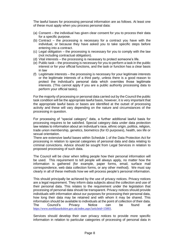The lawful bases for processing personal information are as follows. At least one of these must apply when you process personal data:

- (a) Consent the individual has given clear consent for you to process their data for a specific purpose.
- (b) Contract the processing is necessary for a contract you have with the individual, or because they have asked you to take specific steps before entering into a contract.
- (c) Legal obligation the processing is necessary for you to comply with the law (not including contractual obligation).
- (d) Vital interests the processing is necessary to protect someone's life.
- (e) Public task the processing is necessary for you to perform a task in the public interest or for your official functions, and the task or function has a clear basis in law
- (f) Legitimate interests the processing is necessary for your legitimate interests or the legitimate interests of a third party, unless there is a good reason to protect the individual's personal data which overrides those legitimate interests. (This cannot apply if you are a public authority processing data to perform your official tasks).

For the majority of processing or personal data carried out by the Council the public task condition will be the appropriate lawful basis, however, it is very important that the appropriate lawful basis or bases are identified at the outset of processing activity and these will vary depending on the nature and circumstances of the processing in question.

For processing of "special category" data, a further additional lawful basis for processing requires to be satisfied. Special category data under data protection law relates to information about an individual's race, ethnic origin, politics, religion, trade union membership, genetics, biometrics (for ID purposes), health, sex life or sexual orientation.

There are extensive lawful bases within Schedule 1 of the Data Protection Act for processing in relation to special categories of personal data and data relating to criminal convictions. Advice should be sought from Legal Services in relation to proposed processing of such data.

The Council will be clear when telling people how their personal information will be used. This requirement to tell people will always apply, no matter how the information is gathered (for example, paper forms, email, surface mail correspondence, web data collection forms, or any other method). We must say clearly in all of these methods how we will process people's personal information.

This should principally be achieved by the use of privacy notices. Privacy notices are a legal requirement. They inform data subjects about the collection and use of their personal data. This relates to the requirement under the legislation that processing of personal data should be transparent. Privacy notices should provide individuals with information about our purposes for processing their personal data, how long their data may be retained and with whom it may be shared. This information should be available to individuals at the point of collection of their data. The Council's Privacy Notice can be found at [https://www.northlanarkshire.gov.uk/index.aspx?articleid=15003.](https://www.northlanarkshire.gov.uk/index.aspx?articleid=15003)

Services should develop their own privacy notices to provide more specific information in relation to particular categories of processing of personal data in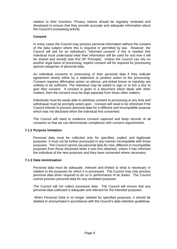relation to their functions. Privacy notices should be regularly reviewed and developed to ensure that they provide accurate and adequate information about the Council's processing activity.

#### **Consent**

In many cases the Council may process personal information without the consent of the data subject where this is required or permitted by law. However, the Council will ask for an individual's "informed consent" if this is needed (the individual must understand what their information will be used for and how it will be shared and stored) (see first DP Principle). Unless the Council can rely on another legal basis of processing, explicit consent will be required for processing special categories of personal data.

An individual consents to processing of their personal data if they indicate agreement clearly either by a statement or positive action to the processing. Consent requires affirmative action so silence, pre-ticked boxes or inactivity are unlikely to be sufficient. The individual may be asked to sign or to tick a box to give their consent. If consent is given in a document which deals with other matters, then the consent must be kept separate from those other matters.

Individuals must be easily able to withdraw consent to processing at any time and withdrawal must be promptly acted upon. Consent will need to be refreshed if the Council intends to process personal data for a different and incompatible purpose which was not disclosed when the individual first consented.

The Council will need to evidence consent captured and keep records of all consents so that we can demonstrate compliance with consent requirements.

#### **7.1.2 Purpose limitation**

Personal data must be collected only for specified, explicit and legitimate purposes. It must not be further processed in any manner incompatible with those purposes. The Council cannot use personal data for new, different or incompatible purposes from those disclosed when it was first obtained, unless it has informed the individual of the new purposes and they have consented where necessary.

#### **7.1.3 Data minimisation**

Personal data must be adequate, relevant and limited to what is necessary in relation to the purposes for which it is processed. The Council may only process personal data when required to do so in performance of its duties. The Council cannot process personal data for any unrelated purposes.

The Council will not collect excessive data. The Council will ensure that any personal data collected is adequate and relevant for the intended purposes.

When Personal Data is no longer needed for specified purposes, it should be deleted or anonymised in accordance with the Council's data retention guidelines.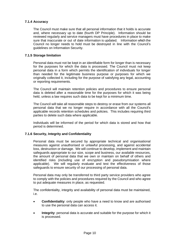#### **7.1.4 Accuracy**

The Council must make sure that all personal information that it holds is accurate and, where necessary up to date (fourth DP Principle). Information should be reviewed regularly and service managers must have procedures in place to make sure that inaccurate or out of date information is updated. Information which the Council no longer needs to hold must be destroyed in line with the Council's guidelines on Information Security.

#### **7.1.5 Storage limitation**

Personal data must not be kept in an identifiable form for longer than is necessary for the purposes for which the data is processed. The Council must not keep personal data in a form which permits the identification of individuals for longer than needed for the legitimate business purpose or purposes for which we originally collected it, including for the purpose of satisfying any legal, accounting or reporting requirements.

The Council will maintain retention policies and procedures to ensure personal data is deleted after a reasonable time for the purposes for which it was being held, unless a law requires such data to be kept for a minimum time.

The Council will take all reasonable steps to destroy or erase from our systems all personal data that we no longer require in accordance with all the Council's applicable records retention schedules and policies. This includes requiring third parties to delete such data where applicable.

Individuals will be informed of the period for which data is stored and how that period is determined.

#### **7.1.6 Security, Integrity and Confidentiality**

Personal data must be secured by appropriate technical and organisational measures against unauthorised or unlawful processing, and against accidental loss, destruction or damage. We will continue to develop, implement and maintain safeguards appropriate to our size, scope and business, our available resources, the amount of personal data that we own or maintain on behalf of others and identified risks (including use of encryption and pseudonymisation where applicable). We will regularly evaluate and test the effectiveness of those safeguards to ensure security of our processing of personal data.

Personal data may only be transferred to third party service providers who agree to comply with the policies and procedures required by the Council and who agree to put adequate measures in place, as requested.

The confidentiality, integrity and availability of personal data must be maintained, i.e.

- **Confidentiality**: only people who have a need to know and are authorised to use the personal data can access it.
- **Integrity**: personal data is accurate and suitable for the purpose for which it is processed.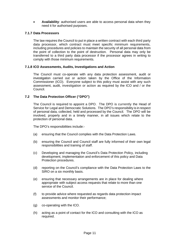• **Availability**: authorised users are able to access personal data when they need it for authorised purposes.

#### **7.1.7 Data Processors**

The law requires the Council to put in place a written contract with each third party data processor, which contract must meet specific minimum requirements, including procedures and policies to maintain the security of all personal data from the point of collection to the point of destruction. Personal data may only be transferred to a third party data processor if the processor agrees in writing to comply with those minimum requirements.

#### **7.1.8 ICO Assessments, Audits, Investigations and Action**

The Council must co-operate with any data protection assessment, audit or investigation carried out or action taken by the Office of the Information Commissioner (ICO). Everyone subject to this policy must assist with any such assessment, audit, investigation or action as required by the ICO and / or the Council.

#### **7.2 The Data Protection Officer ("DPO")**

The Council is required to appoint a DPO. The DPO is currently the Head of Service for Legal and Democratic Solutions. The DPO's responsibility is in respect of personal data, collected, held and processed by the Council. The DPO will be involved, properly and in a timely manner, in all issues which relate to the protection of personal data.

The DPO's responsibilities include:-

- (a) ensuring that the Council complies with the Data Protection Laws.
- (b) ensuring the Council and Council staff are fully informed of their own legal responsibilities and training of staff.
- (c) Developing and managing the Council's Data Protection Policy, including development, implementation and enforcement of this policy and Data Protection procedures.
- (d) reporting on the Council's compliance with the Data Protection Laws to the SIRO on a six monthly basis.
- (e) ensuring that necessary arrangements are in place for dealing where appropriate with subject access requests that relate to more than one service of the Council.
- (f) to provide advice where requested as regards data protection impact assessments and monitor their performance;
- (g) co-operating with the ICO.
- (h) acting as a point of contact for the ICO and consulting with the ICO as required.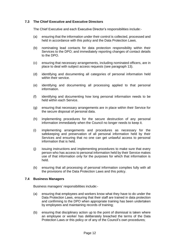#### **7.3 The Chief Executive and Executive Directors**

The Chief Executive and each Executive Director's responsibilities include:-

- (a) ensuring that the information under their control is collected, processed and held in accordance with this policy and the Data Protection Laws.
- (b) nominating lead contacts for data protection responsibility within their Services to the DPO; and immediately reporting changes of contact details to the DPO.
- (c) ensuring that necessary arrangements, including nominated officers, are in place to deal with subject access requests (see paragraph 13).
- (d) identifying and documenting all categories of personal information held within their service.
- (e) identifying and documenting all processing applied to that personal information.
- (f) identifying and documenting how long personal information needs to be held within each Service.
- (g) ensuring that necessary arrangements are in place within their Service for the secure disposal of personal data.
- (h) implementing procedures for the secure destruction of any personal information immediately when the Council no longer needs to keep it.
- (i) implementing arrangements and procedures as necessary for the safekeeping and preservation of all personal information held by their Services and ensuring that no one can get unlawful access to personal information that is held.
- (j) issuing instructions and implementing procedures to make sure that every person who has access to personal information held by their Service makes use of that information only for the purposes for which that information is held.
- (k) ensuring that all processing of personal information complies fully with all the provisions of the Data Protection Laws and this policy.

#### **7.4 Business Managers**

Business managers' responsibilities include:-

- (a) ensuring that employees and workers know what they have to do under the Data Protection Laws, ensuring that their staff are trained in data protection and confirming to the DPO when appropriate training has been undertaken by employees and maintaining records of training;
- (b) ensuring that disciplinary action up to the point of dismissal is taken where an employee or worker has deliberately breached the terms of the Data Protection Laws or this policy or of any of the Council's own procedures;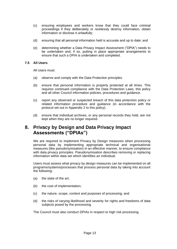- (c) ensuring employees and workers know that they could face criminal proceedings if they deliberately or recklessly destroy information, obtain information or disclose it unlawfully;
- (d) ensuring that all personal information held is accurate and up to date; and
- (e) determining whether a Data Privacy Impact Assessment ("DPIA") needs to be undertaken and, if so, putting in place appropriate arrangements to ensure that such a DPIA is undertaken and completed.

#### **7.5 All Users**

All Users must:

- (a) observe and comply with the Data Protection principles.
- (b) ensure that personal information is properly protected at all times. This requires continued compliance with the Data Protection Laws, this policy and all other Council information policies, procedures and guidance.
- (c) report any observed or suspected breach of this data protection policy or related information procedure and guidance (in accordance with the protocol set out in Appendix 2 to this policy).
- (d) ensure that individual archives, or any personal records they hold, are not kept when they are no longer required.

### **8. Privacy by Design and Data Privacy Impact Assessments ("DPIAs")**

We are required to implement Privacy by Design measures when processing personal data by implementing appropriate technical and organisational measures (like pseudonymisation) in an effective manner, to ensure compliance with data privacy principles. Pseudonymisation describes removing or replacing information within data set which identifies an individual.

Users must assess what privacy by design measures can be implemented on all programs/systems/processes that process personal data by taking into account the following:

- (a) the state of the art;
- (b) the cost of implementation;
- (c) the nature, scope, context and purposes of processing; and
- (d) the risks of varying likelihood and severity for rights and freedoms of data subjects posed by the processing.

The Council must also conduct DPIAs in respect to high risk processing.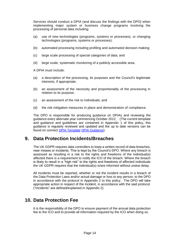Services should conduct a DPIA (and discuss the findings with the DPO) when implementing major system or business change programs involving the processing of personal data including:

- (a) use of new technologies (programs, systems or processes), or changing technologies (programs, systems or processes);
- (b) automated processing including profiling and automated decision making;
- (c) large scale processing of special categories of data; and
- (d) large scale, systematic monitoring of a publicly accessible area.

A DPIA must include:

- (a) a description of the processing, its purposes and the Council's legitimate interests, if appropriate;
- (b) an assessment of the necessity and proportionality of the processing in relation to its purpose;
- (c) an assessment of the risk to individuals; and
- (d) the risk mitigation measures in place and demonstration of compliance.

The DPO is responsible for producing guidance on DPIAs and reviewing the guidance every alternate year commencing October 2012. (The current template and guidance and guidelines are contained in Appendix 1 of this policy, this guidance is regularly reviewed and updated and the up to date versions can be found on connect [DPIA Template](http://connect/CHttpHandler.ashx?id=46082&p=0) [DPIA Guidance\)](http://connect/CHttpHandler.ashx?id=46083&p=0).

### **9. Data Protection Incidents/Breaches**

The UK GDPR requires data controllers to keep a written record of data breaches, near misses or incidents. This is kept by the Council's DPO. Where any breach is assessed as resulting in a risk to the rights and freedoms of the individual(s) affected there is a requirement to notify the ICO of the breach. Where the breach is likely to result in a "high risk" to the rights and freedoms of affected individuals the UK GDPR requires that the individual(s) is/are informed without undue delay.

All incidents must be reported, whether or not the incident results in a breach of the Data Protection Laws and/or actual damage or loss to any person, to the DPO in accordance with the protocol in Appendix 2 to this policy. The DPO will take appropriate action in respect of the incident, in accordance with the said protocol. ("Incidents" are defined/explained in Appendix 2).

### **10. Data Protection Fee**

It is the responsibility of the DPO to ensure payment of the annual data protection fee to the ICO and to provide all information required by the ICO when doing so.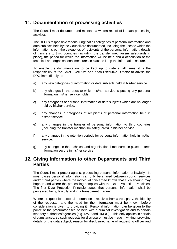### **11. Documentation of processing activities**

The Council must document and maintain a written record of its data processing activities.

The DPO is responsible for ensuring that all categories of personal information and data subjects held by the Council are documented, including the uses to which the information is put, the categories of recipients of the personal information, details of transfers to third countries (including the transfer mechanism safeguards in place), the period for which the information will be held and a description of the technical and organisational measures in place to keep the information secure.

To enable the documentation to be kept up to date at all times, it is the responsibility of the Chief Executive and each Executive Director to advise the DPO immediately of:

- a) any new categories of information or data subjects held in his/her service.
- b) any changes in the uses to which his/her service is putting any personal information his/her service holds.
- c) any categories of personal information or data subjects which are no longer held by his/her service.
- d) any changes in categories of recipients of personal information held in his/her service.
- e) any changes in the transfer of personal information to third countries (including the transfer mechanism safeguards) in his/her service.
- f) any changes in the retention periods for personal information held in his/her service.
- g) any changes in the technical and organisational measures in place to keep information secure in his/her service.

### **12. Giving Information to other Departments and Third Parties**

The Council must protect against processing personal information unlawfully. In most cases personal information can only be shared between council services and/or third parties where the individual concerned knows that such sharing may happen and where the processing complies with the Data Protection Principles. The first Data Protection Principle states that personal information shall be processed fairly, lawfully and in a transparent manner.

Where a request for personal information is received from a third party, the identity of the requester and the need for the information must be known before consideration is given to providing it. Personal information can be given to the police or the procurator fiscal to help with a criminal investigation and to certain statutory authorities/agencies (e.g. DWP and HMRC). This only applies in certain circumstances, so such requests for disclosure must be made in writing, providing details of the data subject, reason for disclosure, name of requesting officer and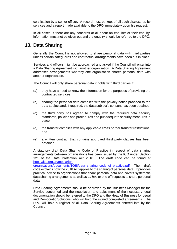certification by a senior officer. A record must be kept of all such disclosures by services and a report made available to the DPO immediately upon his request.

In all cases, if there are any concerns at all about an enquirer or their enquiry, information must not be given out and the enquiry should be referred to the DPO.

### **13. Data Sharing**

Generally the Council is not allowed to share personal data with third parties unless certain safeguards and contractual arrangements have been put in place.

Services and officers might be approached and asked if the Council will enter into a Data Sharing Agreement with another organisation. A Data Sharing Agreement addresses arrangements whereby one organisation shares personal data with another organisation.

The Council will only share personal data it holds with third parties if:

- (a) they have a need to know the information for the purposes of providing the contracted services;
- (b) sharing the personal data complies with the privacy notice provided to the data subject and, if required, the data subject's consent has been obtained;
- (c) the third party has agreed to comply with the required data security standards, policies and procedures and put adequate security measures in place;
- (d) the transfer complies with any applicable cross border transfer restrictions; and
- (e) a written contract that contains approved third party clauses has been obtained.

A statutory draft Data Sharing Code of Practice in respect of data sharing arrangements between organisations has been issued by the ICO under Section 121 of the Data Protection Act 2018 . The draft code can be found at [https://ico.org.uk/media/for-](https://ico.org.uk/media/for-organisations/documents/1068/data_sharing_code_of_practice.pdf)

[organisations/documents/1068/data\\_sharing\\_code\\_of\\_practice.pdf](https://ico.org.uk/media/for-organisations/documents/1068/data_sharing_code_of_practice.pdf) The draft code explains how the 2018 Act applies to the sharing of personal data. It provides practical advice to organisations that share personal data and covers systematic data sharing arrangements as well as *ad hoc* or one off requests to share personal data.

Data Sharing Agreements should be approved by the Business Manager for the Service concerned and the negotiation and adjustment of the necessary legal documentation should be referred to the DPO and the Head of Business for Legal and Democratic Solutions, who will hold the signed completed agreements. The DPO will hold a register of all Data Sharing Agreements entered into by the Council.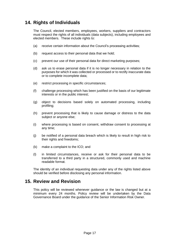### **14. Rights of Individuals**

The Council, elected members, employees, workers, suppliers and contractors must respect the rights of all individuals (data subjects), including employees and elected members. These include rights to:

- (a) receive certain information about the Council's processing activities;
- (b) request access to their personal data that we hold;
- (c) prevent our use of their personal data for direct marketing purposes;
- (d) ask us to erase personal data if it is no longer necessary in relation to the purposes for which it was collected or processed or to rectify inaccurate data or to complete incomplete data;
- (e) restrict processing in specific circumstances;
- (f) challenge processing which has been justified on the basis of our legitimate interests or in the public interest;
- (g) object to decisions based solely on automated processing, including profiling;
- (h) prevent processing that is likely to cause damage or distress to the data subject or anyone else;
- (i) where processing is based on consent, withdraw consent to processing at any time;
- (j) be notified of a personal data breach which is likely to result in high risk to their rights and freedoms;
- (k) make a complaint to the ICO; and
- (l) in limited circumstances, receive or ask for their personal data to be transferred to a third party in a structured, commonly used and machine readable format.

The identity of an individual requesting data under any of the rights listed above should be verified before disclosing any personal information.

### **15. Review and Revision**

This policy will be reviewed whenever guidance or the law is changed but at a minimum every 24 months. Policy review will be undertaken by the Data Governance Board under the guidance of the Senior Information Risk Owner.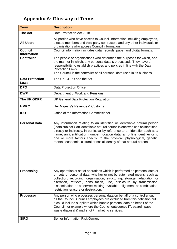## **Appendix A: Glossary of Terms**

| <b>Term</b>                          | <b>Description</b>                                                                                                                                                                                                                                                                                                                                                                                                                                                         |
|--------------------------------------|----------------------------------------------------------------------------------------------------------------------------------------------------------------------------------------------------------------------------------------------------------------------------------------------------------------------------------------------------------------------------------------------------------------------------------------------------------------------------|
| <b>The Act</b>                       | Data Protection Act 2018                                                                                                                                                                                                                                                                                                                                                                                                                                                   |
| <b>All Users</b>                     | All parties who have access to Council information including employees,<br>elected members and third party contractors and any other individuals or<br>organisations who access Council information.                                                                                                                                                                                                                                                                       |
| <b>Council</b><br><b>Information</b> | Council information includes data, records, paper and digital formats.                                                                                                                                                                                                                                                                                                                                                                                                     |
| <b>Controller</b>                    | The people or organisations who determine the purposes for which, and<br>the manner in which, any personal data is processed. They have a<br>responsibility to establish practices and policies in line with the Data<br>Protection Laws.<br>The Council is the controller of all personal data used in its business.                                                                                                                                                      |
| <b>Data Protection</b><br>Laws       | The UK GDPR and the Act                                                                                                                                                                                                                                                                                                                                                                                                                                                    |
| <b>DPO</b>                           | <b>Data Protection Officer</b>                                                                                                                                                                                                                                                                                                                                                                                                                                             |
| <b>DWP</b>                           | Department of Work and Pensions                                                                                                                                                                                                                                                                                                                                                                                                                                            |
| The UK GDPR                          | UK General Data Protection Regulation                                                                                                                                                                                                                                                                                                                                                                                                                                      |
| <b>HMRC</b>                          | Her Majesty's Revenue & Customs                                                                                                                                                                                                                                                                                                                                                                                                                                            |
| <b>ICO</b>                           | Office of the Information Commissioner                                                                                                                                                                                                                                                                                                                                                                                                                                     |
| <b>Personal Data</b>                 | Any information relating to an identified or identifiable natural person<br>('data subject'); an identifiable natural person is one who can be identified,<br>directly or indirectly, in particular by reference to an identifier such as a<br>name, an identification number, location data, an online identifier or to<br>one or more factors specific to the physical, physiological, genetic,<br>mental, economic, cultural or social identity of that natural person. |
| <b>Processing</b>                    | Any operation or set of operations which is performed on personal data or<br>on sets of personal data, whether or not by automated means, such as<br>collection, recording, organisation, structuring, storage, adaptation or<br>alteration, retrieval, consultation, use, disclosure by transmission,<br>dissemination or otherwise making available, alignment or combination,<br>restriction, erasure or destruction.                                                   |
| <b>Processor</b>                     | Any person who processes personal data on behalf of a controller such<br>as the Council. Council employees are excluded from this definition but<br>it could include suppliers which handle personal data on behalf of the<br>Council, for example where the Council outsources IT, payroll, paper<br>waste disposal & mail shot / marketing services.                                                                                                                     |
| <b>SIRO</b>                          | Senior Information Risk Owner.                                                                                                                                                                                                                                                                                                                                                                                                                                             |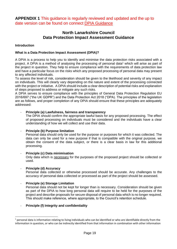### **North Lanarkshire Council Data Protection Impact Assessment Guidance**

#### **Introduction**

#### **What is a Data Protection Impact Assessment (DPIA)?**

A DPIA is a process to help you to identify and minimise the data protection risks associated with a project. A DPIA is a method of analysing the processing of personal data<sup>1</sup> which will arise as part of the project in question. They help to ensure compliance with the requirements of data protection law and have a particular focus on the risks which any proposed processing of personal data may present to any affected individuals.

To assess the level of risk, consideration should be given to the likelihood and severity of any impact on individuals. This will clearly vary depending on the nature and extent of the processing connected with the project or initiative. A DPIA should include a clear description of potential risks and explanation of steps proposed to address or mitigate any such risks.

A DPIA serves to ensure compliance with the principles of General Data Protection Regulation EU 2016/697 ("the UK GDPR") and the Data Protection Act 2018 ("DPA). The principles of the legislation are as follows, and proper completion of any DPIA should ensure that these principles are adequately addressed:

#### - **Principle (a) Lawfulness, fairness and transparency**

The DPIA should confirm the appropriate lawful basis for any proposed processing. The effect of proposed processing on individuals must be considered and the individuals have a clear understanding of how we will collect and use their data.

#### - **Principle (b) Purpose limitation**

Personal data should only be used for the purpose or purposes for which it was collected. The data can only be used for a new purpose if that is compatible with the original purpose, we obtain the consent of the data subject, or there is a clear basis in law for this additional processing.

#### - **Principle (c) Data minimisation**

Only data which is necessary for the purposes of the proposed project should be collected or used.

#### - **Principle (d) Accuracy**

Personal data collected or otherwise processed should be accurate. Any challenges to the accuracy of personal data collected or processed as part of the project should be assessed.

#### - **Principle (e) Storage Limitation**

Personal data should not be kept for longer than is necessary. Consideration should be given as part of the DPIA to how long personal data will require to be held for the purposes of the project and describe proposals for secure disposal of personal data which is no longer required. This should make reference, where appropriate, to the Council's retention schedule.

#### - **Principle (f) Integrity and confidentiality**

 $<sup>1</sup>$  personal data is information relating to living individuals who can be identified or who are identifiable directly from the</sup> information in question, or who can be indirectly identified from that information in combination with other information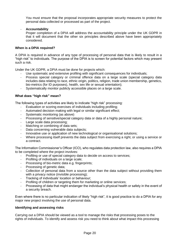You must ensure that the proposal incorporates appropriate security measures to protect the personal data collected or processed as part of the project.

#### - **Accountability**

Proper completion of a DPIA will address the accountability principle under the UK GDPR in that it will document that the other six principles described above have been appropriately considered.

#### **When is a DPIA required?**

A DPIA is required in advance of any type of processing of personal data that is likely to result in a "high risk" to individuals. The purpose of the DPIA is to screen for potential factors which may present such a risk.

Under the UK GDPR, a DPIA must be done for projects which:

- Use systematic and extensive profiling with significant consequences for individuals;
- Process special category or criminal offence data on a large scale (special category data includes data relating to race, ethnic origin, politics, religion, trade union membership, genetics, bio-metrics (for ID purposes), health, sex life or sexual orientation);
- Systematically monitor publicly accessible places on a large scale.

#### **What does "high risk" mean?**

The following types of activities are likely to indicate "high risk" processing:

- Evaluation or scoring exercises of individuals including profiling;
- Automated decision making with legal or similar significant effect;
- Systematic monitoring (as above)
- Processing of sensitive/special category data or data of a highly personal nature;
- Large scale data processing;
- Matching or combining of data sets;
- Data concerning vulnerable data subjects;
- Innovative use or application of new technological or organisational solutions;
- Where processing itself prevents the data subject from exercising a right, or using a service or a contract.

The Information Commissioner's Officer (ICO), who regulates data protection law, also requires a DPIA to be completed where the project involves:

- Profiling or use of special category data to decide on access to services;
- Profiling of individuals on a large scale;
- Processing of bio-metric data e.g. fingerprints;
- Processing of genetic data;
- Collection of personal data from a source other than the data subject without providing them with a privacy notice (invisible processing);
- Tracking of individuals' location or behaviour;
- Profiling of children or targeting them for marketing or online services;
- Processing of data that might endanger the individual's physical health or safety in the event of a security breach.

Even where there is no particular indication of likely "high risk", it is good practice to do a DPIA for any major new project involving the use of personal data.

#### **Identifying and assessing risks**

Carrying out a DPIA should be viewed as a tool to manage the risks that processing poses to the rights of individuals. To identify and assess risk you need to think about what impact this processing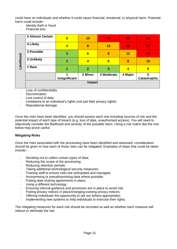could have on individuals and whether it could cause financial, emotional, or physical harm. Potential harm could include:-

- Identity theft or fraud
- Financial loss

|                                                                                                                                                                                                                                                                                                                                                                                                                                                                                                                                                                                                                                                                                                                                                                                                               | <b>5 Almost Certain</b> | $5\phantom{1}$          | 10             | 15         | 20                      | 25                            |  |  |  |  |  |
|---------------------------------------------------------------------------------------------------------------------------------------------------------------------------------------------------------------------------------------------------------------------------------------------------------------------------------------------------------------------------------------------------------------------------------------------------------------------------------------------------------------------------------------------------------------------------------------------------------------------------------------------------------------------------------------------------------------------------------------------------------------------------------------------------------------|-------------------------|-------------------------|----------------|------------|-------------------------|-------------------------------|--|--|--|--|--|
|                                                                                                                                                                                                                                                                                                                                                                                                                                                                                                                                                                                                                                                                                                                                                                                                               | 4 Likely                | $\overline{\mathbf{4}}$ | 8              | 12         | 16                      | 20                            |  |  |  |  |  |
|                                                                                                                                                                                                                                                                                                                                                                                                                                                                                                                                                                                                                                                                                                                                                                                                               | 3 Possible              | 3                       | $6\phantom{1}$ | 9          | 12                      | 15                            |  |  |  |  |  |
| Likelihood                                                                                                                                                                                                                                                                                                                                                                                                                                                                                                                                                                                                                                                                                                                                                                                                    | 2 Unlikely              | $\overline{2}$          | $\overline{4}$ | 6          | 8                       | 10                            |  |  |  |  |  |
|                                                                                                                                                                                                                                                                                                                                                                                                                                                                                                                                                                                                                                                                                                                                                                                                               | 1 Rare                  | 1                       | $\overline{2}$ | 3          | $\overline{\mathbf{4}}$ | $5\phantom{1}$                |  |  |  |  |  |
|                                                                                                                                                                                                                                                                                                                                                                                                                                                                                                                                                                                                                                                                                                                                                                                                               |                         | 1<br>Insignificant      | 2 Minor        | 3 Moderate | 4 Major                 | 5<br><b>Catastrophic</b>      |  |  |  |  |  |
|                                                                                                                                                                                                                                                                                                                                                                                                                                                                                                                                                                                                                                                                                                                                                                                                               |                         |                         | <b>Impact</b>  |            |                         |                               |  |  |  |  |  |
| Limitations to an individual's rights (not just their privacy rights)<br>Reputational damage.<br>Once the risks have been identified, you should assess each one including sources of risk and the<br>potential impact of each type of breach (e.g. loss of data, unauthorised access). You will need to<br>objectively consider the likelihood and severity of the possible harm. Using a risk matrix like the one<br>below may prove useful:<br><b>Mitigating Risks</b><br>Once the risks associated with the processing have been identified and assessed, consideration<br>should be given to how each of those risks can be mitigated. Examples of steps that could be taken<br>include:-                                                                                                                |                         |                         |                |            |                         |                               |  |  |  |  |  |
| Deciding not to collect certain types of data;<br>Reducing the scope of the processing;<br>Reducing retention periods;<br>Taking additional technological security measures;<br>Training staff to ensure risks are anticipated and managed;<br>Anonymising or pseudonymising data where possible;<br>Putting data sharing agreements in place;<br>Using a different technology;<br>Ensuring internal guidance and processes are in place to avoid risk;<br>Putting privacy notices in place/changing existing privacy notices;<br>Offering individuals the opportunity to opt out (where appropriate);<br>Implementing new systems to help individuals to exercise their rights.<br>$\overline{\phantom{a}}$<br>The mitigating measures for each risk should be recorded as well as whether each measure will |                         |                         |                |            |                         |                               |  |  |  |  |  |
|                                                                                                                                                                                                                                                                                                                                                                                                                                                                                                                                                                                                                                                                                                                                                                                                               |                         |                         |                |            |                         | reduce or eliminate the risk. |  |  |  |  |  |

- Loss of confidentiality
- Discrimination
- Lost control of data
- Limitations to an individual's rights (not just their privacy rights)
- Reputational damage.

#### **Mitigating Risks**

- Deciding not to collect certain types of data;<br>- Reducing the scope of the processing:
- Reducing the scope of the processing;
- Reducing retention periods;
- Taking additional technological security measures;
- Training staff to ensure risks are anticipated and managed;
- Anonymising or pseudonymising data where possible;
- Putting data sharing agreements in place;
- Using a different technology;
- Ensuring internal guidance and processes are in place to avoid risk;
- Putting privacy notices in place/changing existing privacy notices;
- Offering individuals the opportunity to opt out (where appropriate);
- Implementing new systems to help individuals to exercise their rights.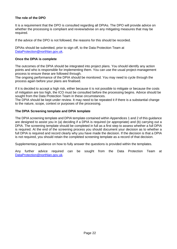#### **The role of the DPO**

It is a requirement that the DPO is consulted regarding all DPIAs. The DPO will provide advice on whether the processing is compliant and review/advise on any mitigating measures that may be required.

If the advice of the DPO is not followed, the reasons for this should be recorded.

DPIAs should be submitted, prior to sign off, to the Data Protection Team at [DataProtection@northlan.gov.uk.](mailto:DataProtection@northlan.gov.uk)

#### **Once the DPIA is complete**

The outcomes of the DPIA should be integrated into project plans. You should identify any action points and who is responsible for implementing them. You can use the usual project-management process to ensure these are followed through.

The ongoing performance of the DPIA should be monitored. You may need to cycle through the process again before your plans are finalised.

If it is decided to accept a high risk, either because it is not possible to mitigate or because the costs of mitigation are too high, the ICO must be consulted before the processing begins. Advice should be sought from the Data Protection Team in these circumstances.

The DPIA should be kept under review. It may need to be repeated it if there is a substantial change to the nature, scope, context or purposes of the processing.

#### **The DPIA Screening template and DPIA template**

The DPIA screening template and DPIA template contained within Appendices 1 and 2 of this guidance are designed to assist you in (a) deciding if a DPIA is required (or appropriate) and (b) carrying out a DPIA. The screening template should be completed in full as a first step to assess whether a full DPIA is required. At the end of the screening process you should document your decision as to whether a full DPIA is required and record clearly why you have made the decision. If the decision is that a DPIA is not required, you should retain the completed screening template as a record of that decision.

Supplementary guidance on how to fully answer the questions is provided within the templates.

Any further advice required can be sought from the Data Protection Team at [DataProtection@northlan.gov.uk.](mailto:DataProtection@northlan.gov.uk)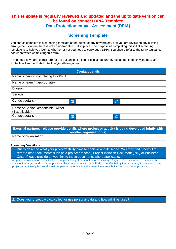### **This template is regularly reviewed and updated and the up to date version can be found on connect [DPIA Template](http://connect/CHttpHandler.ashx?id=46082&p=0) Data Protection Impact Assessment (DPIA)**

### **Screening Template**

You should complete this screening template at the outset of any new project, or if you are reviewing any existing arrangements where there is not an up-to-date DPIA in place. The purpose of completing this initial screening template is to help you identity whether or not you need to carry out a DPIA. You should refer to the DPIA Guidance document when completing this form.

If you need any parts of this form or the guidance clarified or explained further, please get in touch with the Data Protection Team at DataProtection@northlan.gov.uk

|                                                     |              | <b>Contact details</b> |   |
|-----------------------------------------------------|--------------|------------------------|---|
| Name of person completing this DPIA                 |              |                        |   |
| Name of team (if appropriate)                       |              |                        |   |
| <b>Division</b>                                     |              |                        |   |
| Service                                             |              |                        |   |
| Contact details                                     | $\mathbf{F}$ |                        | @ |
| Name of Senior Responsible Owner<br>(if applicable) |              |                        |   |
| Contact details                                     | $\mathbf{F}$ |                        | @ |

| <b>External partners - please provide details where project or activity is being developed jointly with</b> |                         |  |  |
|-------------------------------------------------------------------------------------------------------------|-------------------------|--|--|
|                                                                                                             | another organisation(s) |  |  |
| Name of organisation                                                                                        |                         |  |  |

**Screening Questions**

1. Briefly describe what your project/activity aims to achieve and its scope. You may find it helpful to refer to other documents such as a project proposal, Project Initiation Document (PID) or Business Case. Please provide a hyperlink to these documents where applicable.

As part of consideration of the likelihood of processing of personal data presenting a "high risk" it is important to describe the scale of the project and, so far as possible, the extent of data subjects likely to be affected by the processing in question. If the project is particularly technical in nature, please try to describe the project in non-technical terms so far as possible.

2. Does your project/activity collect or use personal data and how will it be used?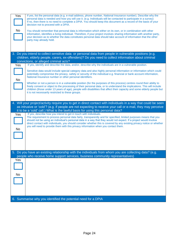| Yes<br><b>No</b> | If yes, list the personal data (e.g. e-mail address, phone number, National Insurance number). Describe why the<br>personal data is needed and how you will use it. (e.g. Individuals will be contacted to participate in a survey)<br>If no, then there is no need to complete a DPIA. You should keep this document as a record of the basis of your<br>decision not to proceed with a DPIA.<br>You should remember that personal data is information which either on its own, or in combination with other<br>information, identifies a living individual. Therefore, if your project involves sharing information with another party,<br>your decision as to whether the data constitutes personal data should take account of information that the other |
|------------------|---------------------------------------------------------------------------------------------------------------------------------------------------------------------------------------------------------------------------------------------------------------------------------------------------------------------------------------------------------------------------------------------------------------------------------------------------------------------------------------------------------------------------------------------------------------------------------------------------------------------------------------------------------------------------------------------------------------------------------------------------------------|
|                  | party may already hold.                                                                                                                                                                                                                                                                                                                                                                                                                                                                                                                                                                                                                                                                                                                                       |
|                  | 3. Do you intend to collect sensitive data or personal data from people in vulnerable positions (e.g.<br>children, elderly people, carers, ex-offenders)? Do you need to collect information about criminal                                                                                                                                                                                                                                                                                                                                                                                                                                                                                                                                                   |
|                  | convictions, or alleged criminal acts?                                                                                                                                                                                                                                                                                                                                                                                                                                                                                                                                                                                                                                                                                                                        |
| Yes              | If yes, identify and describe the data, and/or, describe why the individuals are in a vulnerable position.                                                                                                                                                                                                                                                                                                                                                                                                                                                                                                                                                                                                                                                    |
| <b>No</b>        | Sensitive data would include special category data and also highly personal information or information which could<br>potentially compromise the privacy, safety or security of the individual e.g. financial or bank account information,<br>National Insurance number or other personal identifiers.                                                                                                                                                                                                                                                                                                                                                                                                                                                        |
|                  | Whether or not a person is in a vulnerable position (for the purposes of this process) centres round their ability to<br>freely consent or object to the processing of their personal data, or to understand the implications. This will include<br>children (those under 13 years of age), people with disabilities that affect their capacity and some elderly people but<br>it is not necessarily restricted to these groups.                                                                                                                                                                                                                                                                                                                              |
|                  | 4. Will your project/activity require you to get in direct contact with individuals in a way that could be seen<br>as intrusive or 'cold'? (e.g. if people are not expecting to receive your call or e-mail, they may perceive<br>it to be a 'cold' call.) What is the lawful basis for using this personal data?                                                                                                                                                                                                                                                                                                                                                                                                                                             |
| Yes<br>No        | If yes, describe how you intend to get in touch with individuals.<br>The requirement to process personal data fairly, transparently and for specified, limited purposes means that you<br>should not be using an individual's personal data in a way that they would not expect. If a project would involve<br>direct contact with individuals, you should consider whether this is covered by any existing privacy notice or whether<br>you will need to provide them with this privacy information when you contact them.                                                                                                                                                                                                                                   |
|                  |                                                                                                                                                                                                                                                                                                                                                                                                                                                                                                                                                                                                                                                                                                                                                               |
|                  | 5. Do you have an existing relationship with the individuals from whom you are collecting data? (e.g.<br>people who receive home support services, business community representatives)                                                                                                                                                                                                                                                                                                                                                                                                                                                                                                                                                                        |
| Yes              |                                                                                                                                                                                                                                                                                                                                                                                                                                                                                                                                                                                                                                                                                                                                                               |
| No               |                                                                                                                                                                                                                                                                                                                                                                                                                                                                                                                                                                                                                                                                                                                                                               |
|                  | 6. Summarise why you identified the potential need for a DPIA                                                                                                                                                                                                                                                                                                                                                                                                                                                                                                                                                                                                                                                                                                 |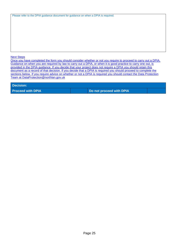| Please refer to the DPIA guidance document for guidance on when a DPIA is required. |  |  |
|-------------------------------------------------------------------------------------|--|--|
|                                                                                     |  |  |

#### Next Steps

Once you have completed the form you should consider whether or not you require to proceed to carry out a DPIA. Guidance on when you are required by law to carry out a DPIA, or when it is good practice to carry one out, is provided in the DPIA guidance. If you decide that your project does not require a DPIA you should retain this document as a record of that decision. If you decide that a DPIA is required you should proceed to complete the sections below. If you require advice on whether or not a DPIA is required you should contact the Data Protection Team at [DataProtection@northlan.gov.uk](mailto:DataProtection@northlan.gov.uk)

#### **Decision:**

**Proceed with DPIA Do not proceed with DPIA**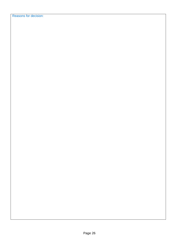Reasons for decision: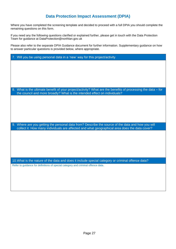### **Data Protection Impact Assessment (DPIA)**

Where you have completed the screening template and decided to proceed with a full DPIA you should complete the remaining questions on this form.

If you need any the following questions clarified or explained further, please get in touch with the Data Protection Team for guidance at DataProtection@northlan.gov.uk

Please also refer to the separate DPIA Guidance document for further information. Supplementary guidance on how to answer particular questions is provided below, where appropriate.

| 7. Will you be using personal data in a 'new' way for this project/activity                                                                                                               |
|-------------------------------------------------------------------------------------------------------------------------------------------------------------------------------------------|
|                                                                                                                                                                                           |
|                                                                                                                                                                                           |
|                                                                                                                                                                                           |
|                                                                                                                                                                                           |
|                                                                                                                                                                                           |
|                                                                                                                                                                                           |
| 8. What is the ultimate benefit of your project/activity? What are the benefits of processing the data - for<br>the council and more broadly? What is the intended effect on individuals? |
|                                                                                                                                                                                           |
|                                                                                                                                                                                           |
|                                                                                                                                                                                           |
|                                                                                                                                                                                           |
|                                                                                                                                                                                           |
|                                                                                                                                                                                           |
| 9. Where are you getting the personal data from? Describe the source of the data and how you will                                                                                         |
| collect it. How many individuals are affected and what geographical area does the data cover?                                                                                             |
|                                                                                                                                                                                           |
|                                                                                                                                                                                           |
|                                                                                                                                                                                           |
|                                                                                                                                                                                           |
|                                                                                                                                                                                           |
|                                                                                                                                                                                           |
| 10. What is the nature of the data and does it include special category or criminal offence data?                                                                                         |
| Refer to guidance for definitions of special category and criminal offence data.                                                                                                          |
|                                                                                                                                                                                           |
|                                                                                                                                                                                           |
|                                                                                                                                                                                           |
|                                                                                                                                                                                           |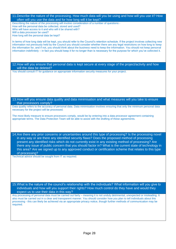| 11. Describe the nature of the processing. How much data will you be using and how will you use it? How                                                                                                                                                            |
|--------------------------------------------------------------------------------------------------------------------------------------------------------------------------------------------------------------------------------------------------------------------|
| often will you use the data and for how long will it be kept?<br>Describing the nature of the processing will involve consideration of a number of questions:-                                                                                                     |
| How will the personal data be collected, stored and used?                                                                                                                                                                                                          |
| Who will have access to it and who will it be shared with?                                                                                                                                                                                                         |
| Will a data processor be used?<br>How long will the personal data be kept?                                                                                                                                                                                         |
|                                                                                                                                                                                                                                                                    |
| In terms of how long data will be kept, you should refer to the Council's retention schedule. If the project involves collecting new                                                                                                                               |
| information not previously held by the Council you should consider whether there are any legal restrictions on how long to keep<br>the information for, and if not, you should think about the business need to keep the information. You should not keep personal |
| information indefinitely - in fact you should keep it for no longer than is necessary for the purpose for which you've collected it.                                                                                                                               |
|                                                                                                                                                                                                                                                                    |
|                                                                                                                                                                                                                                                                    |
|                                                                                                                                                                                                                                                                    |
| 12. How will you ensure that personal data is kept secure at every stage of the project/activity and how                                                                                                                                                           |
| will the data be deleted?<br>You should consult IT for guidance on appropriate information security measures for your project.                                                                                                                                     |
|                                                                                                                                                                                                                                                                    |
|                                                                                                                                                                                                                                                                    |
|                                                                                                                                                                                                                                                                    |
|                                                                                                                                                                                                                                                                    |
|                                                                                                                                                                                                                                                                    |
|                                                                                                                                                                                                                                                                    |
| 13. How will you ensure data quality and data minimisation and what measures will you take to ensure                                                                                                                                                               |
| that processors comply?                                                                                                                                                                                                                                            |
| Data quality refers to the accuracy of personal data. Data minimisation involves ensuring that only the minimum personal data                                                                                                                                      |
| necessary for the project will be processed.                                                                                                                                                                                                                       |
| The most likely measure to ensure processors comply, would be by entering into a data processor agreement containing                                                                                                                                               |
| appropriate terms. The Data Protection Team will be able to assist with the drafting of these agreements.                                                                                                                                                          |
|                                                                                                                                                                                                                                                                    |
|                                                                                                                                                                                                                                                                    |
|                                                                                                                                                                                                                                                                    |
| 14. Are there any prior concerns or uncertainties around this type of processing? Is the processing novel                                                                                                                                                          |
| in any way or are there any identified security flaws? Does the proposed method of processing                                                                                                                                                                      |
| present any identified risks which do not currently exist in any existing method of processing? Are                                                                                                                                                                |
| there any issue of public concern that you should factor in? What is the current state of technology in                                                                                                                                                            |
| this area? Are we signed up to any approved conduct or certification scheme that relates to this type                                                                                                                                                              |
| of processing?                                                                                                                                                                                                                                                     |
| Technical advice should be sought from IT as required.                                                                                                                                                                                                             |
|                                                                                                                                                                                                                                                                    |
|                                                                                                                                                                                                                                                                    |
|                                                                                                                                                                                                                                                                    |
|                                                                                                                                                                                                                                                                    |
|                                                                                                                                                                                                                                                                    |
|                                                                                                                                                                                                                                                                    |
| 15. What is the nature of the council's relationship with the individuals? What information will you give to                                                                                                                                                       |
| individuals and how will you support their rights? How much control do they have and would they<br>expect us to use their data in this way?                                                                                                                        |
| Any processing of personal data must be carried out fairly - meaning it is not unduly detrimental, unexpected or misleading. It                                                                                                                                    |
| also must be carried out in a clear and transparent manner. You should consider how you plan to tell individuals about this                                                                                                                                        |
| processing - this can likely be achieved via an appropriate privacy notice, though further methods of communication may be                                                                                                                                         |
| required.                                                                                                                                                                                                                                                          |
|                                                                                                                                                                                                                                                                    |
|                                                                                                                                                                                                                                                                    |
|                                                                                                                                                                                                                                                                    |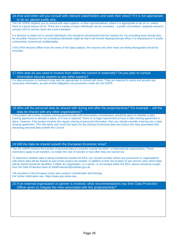#### 16.How and when will you consult with relevant stakeholders and seek their views? If it is not appropriate to do so, please justify why.

The UK GDPR requires you to consult with data subjects, or their representatives, where it is appropriate to do so i.e. unless there is a good reason not to. There are a variety of ways individuals can be consulted – a public consultation, targeted research, surveys sent to service users are some examples.

If a decision is made not to consult individuals, this should be documented and the reasons for not consulting them should also be recorded. Reasons for not consulting individuals might be that it will involve disproportionate effort, it is impractical or it would compromise commercial confidentiality.

If the DPIA decision differs from the views of the data subjects, the reasons why their views are being disregarded should be recorded.

17.Who else do you need to involve from within the council or externally? Do you plan to consult information security experts or any other experts?

If a data processor is involved it may also be appropriate to consult with them. They are required to assist and provide any necessary information, as part of their obligations as processors under the UK GDPR.

#### 18.Who will the personal data be shared with during and after the project/activity? For example – will the data be shared with any other organisations?

If the project will involve routinely sharing personal data with third parties consideration should be given to whether a data sharing agreement is already in place, or if one is required. There is no legal requirement to have a data sharing agreement in place, however, if the project involves the regular sharing of personal information, then you should consider entering into a data sharing agreement. This will clarify and record the basis for the sharing of personal data and reduce the risks associated with disclosing personal data outwith the Council.

#### 19.Will the data be shared outwith the European Economic Area?

The UK GDPR restricts the transfer of personal data to countries outside the EEA\*, or international organisations. These restrictions apply to all transfers, no matter the size of transfer or how often they are carried out.

To determine whether data is being transferred outside the EEA, you should consider where any processors or organisations with whom data will be shared as part of this project are located. In addition to that, the location of any servers upon which data will be stored should be identified. If either an organisation, or a server, is not located within the EEA, advice should be sought from the Data Protection team at [DataProtection@northlan.gov.uk.](mailto:DataProtection@northlan.gov.uk)

\*All countries in the European Union plus Iceland, Liechtenstein and Norway. For further information see[: https://www.gov.uk/eu-eea](https://www.gov.uk/eu-eea) 

20.If an external organisation or partner is involved, what recommendations has their Data Protection Officer given to mitigate the risks associated with this project/activity?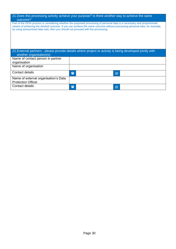| 21. Does this processing activity achieve your purpose? Is there another way to achieve the same<br>outcome?                                                                                                                                                                                                                               |              |                      |
|--------------------------------------------------------------------------------------------------------------------------------------------------------------------------------------------------------------------------------------------------------------------------------------------------------------------------------------------|--------------|----------------------|
| Part of the DPIA process is considering whether the proposed processing of personal data is a necessary and proportionate<br>means of achieving the desired outcome. If you can achieve the same outcome without processing personal data, for example,<br>by using anonymised data sets, then you should not proceed with the processing. |              |                      |
| 22. External partners - please provide details where project or activity is being developed jointly with<br>another organisation(s)                                                                                                                                                                                                        |              |                      |
| Name of contact person in partner<br>organisation                                                                                                                                                                                                                                                                                          |              |                      |
| Name of organisation                                                                                                                                                                                                                                                                                                                       |              |                      |
| Contact details                                                                                                                                                                                                                                                                                                                            | $\mathbf{F}$ | @                    |
| Name of external organisation's Data<br><b>Protection Officer</b>                                                                                                                                                                                                                                                                          |              |                      |
| Contact details                                                                                                                                                                                                                                                                                                                            | <b>First</b> | $^{\textregistered}$ |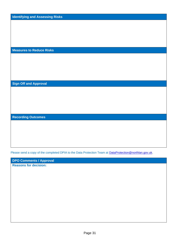**Identifying and Assessing Risks**

**Measures to Reduce Risks**

**Sign Off and Approval**

**Recording Outcomes**

Please send a copy of the completed DPIA to the Data Protection Team at **DataProtection@northlan.gov.uk**.

**DPO Comments / Approval**

**Reasons for decision:**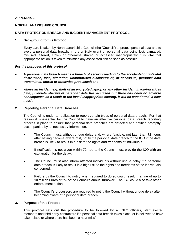#### **APPENDIX 2**

#### **NORTH LANARKSHIRE COUNCIL**

#### **DATA PROTECTION BREACH AND INCIDENT MANAGEMENT PROTOCOL**

#### **1. Background to this Protocol**

Every care is taken by North Lanarkshire Council (the "Council") to protect personal data and to avoid a personal data breach. In the unlikely event of personal data being lost, damaged, misused, altered, stolen or otherwise shared or accessed inappropriately it is vital that appropriate action is taken to minimise any associated risk as soon as possible.

#### *For the purposes of this protocol,*

- **A personal data breach means** *a breach of security leading to the accidental or unlawful destruction, loss, alteration, unauthorised disclosure of, or access to, personal data transmitted, stored or otherwise processed***; and**
- *where an incident e.g. theft of an encrypted laptop or any other incident involving a loss / inappropriate sharing of personal data has occurred but there has been no adverse consequence as a result of the loss / inappropriate sharing, it will be constituted 'a near miss'.*

#### **2. Reporting Personal Data Breaches**

The Council is under an obligation to report certain types of personal data breach. For that reason it is essential for the Council to have an effective personal data breach reporting process in place to ensure that personal data breaches are detected and notified promptly accompanied by all necessary information.

- The Council must, without undue delay and, where feasible, not later than 72 hours after having become aware of it, notify the personal data breach to the ICO if the data breach is likely to result in a risk to the rights and freedoms of individuals.
- If notification is not given within 72 hours, the Council must provide the ICO with an explanation for the delay.
- The Council must also inform affected individuals without undue delay if a personal data breach is likely to result in a high risk to the rights and freedoms of the individuals concerned.
- Failure by the Council to notify when required to do so could result in a fine of up to 10 million Euros or 2% of the Council's annual turnover. The ICO could also take other enforcement action.
- The Council's processors are required to notify the Council without undue delay after becoming aware of a personal data breach.

#### **3. Purpose of this Protocol**

This protocol sets out the procedure to be followed by all NLC officers, staff, elected members and third party contractors if a personal data breach takes place, or is believed to have taken place or where there has been 'a near miss'.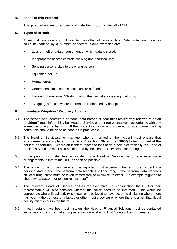#### **4. Scope of this Protocol**

This protocol applies to all personal data held by or on behalf of NLC.

#### **5. Types of Breach**

A personal data breach is not limited to loss or theft of personal data. Data protection breaches could be caused by a number of factors. Some examples are:

- Loss or theft of data or equipment on which data is stored;
- Inappropriate access controls allowing unauthorised use;
- Sending personal data to the wrong person
- Equipment failure;
- Human error;
- Unforeseen circumstances such as fire or flood;
- Hacking, phone/email 'Phishing' and other 'social engineering' methods;
- 'Blagging' offences where information is obtained by deception;

#### **6. Immediate Mitigation / Recovery Actions**

- 6.1 The person who identifies a personal data breach or near miss (collectively referred to as an "**incident**") must inform his / her Head of Service or their representative in accordance with any agreed reporting mechanism . If the incident occurs or is discovered outside normal working hours, this should be done as soon as is practicable.
- 6.2 The Head of Service/senior manager who is informed of the incident must ensure that arrangements are in place for the Data Protection Officer (the "**DPO**") to be informed at the earliest opportunity. Where an incident relates to loss of data held electronically the Head of Business Solutions must also be informed by the Head of Service/senior manager.
- 6.3 If the person who identifies an incident is a Head of Service, he or she must make arrangements to inform the DPO as soon as possible.
- 6.4 The officer to whom an incident is reported must ascertain whether, if the incident is a personal data breach, the personal data breach is still occurring. If the personal data breach is still occurring, steps must be taken immediately to minimise its effect. An example might be to shut down a system, or to alert relevant staff.
- 6.5 The relevant Head of Service, or their representative, in consultation the DPO or their representative will also consider whether the police need to be informed. This would be appropriate where illegal activity is known or is believed to have occurred (including where there has been a theft or loss of a laptop or other mobile device) or where there is a risk that illegal activity might occur in the future.
- 6.6 If bank details have been lost / stolen, the Head of Financial Solutions must be contacted immediately to ensure that appropriate steps are taken to limit / contain loss or damage.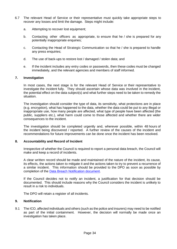- 6.7 The relevant Head of Service or their representative must quickly take appropriate steps to recover any losses and limit the damage. Steps might include:
	- a. Attempting to recover lost equipment;
	- b. Contacting other officers as appropriate, to ensure that he / she is prepared for any potentially inappropriate enquiries;
	- c. Contacting the Head of Strategic Communication so that he / she is prepared to handle any press enquiries;
	- d. The use of back-ups to restore lost / damaged / stolen data; and
	- e. If the incident includes any entry codes or passwords, then these codes must be changed immediately, and the relevant agencies and members of staff informed.

#### **7. Investigation**

In most cases, the next stage is for the relevant Head of Service or their representative to investigate the incident fully. They should ascertain whose data was involved in the incident, the potential effect on the data subject(s) and what further steps need to be taken to remedy the situation.

The investigation should consider the type of data, its sensitivity, what protections are in place (e.g. encryption), what has happened to the data, whether the data could be put to any illegal or inappropriate use, how many people are affected, what type of people have been affected (the public, suppliers etc.), what harm could come to those affected and whether there are wider consequences to the incident.

The investigation should be completed urgently and, wherever possible, within 48 hours of the incident being discovered / reported. A further review of the causes of the incident and recommendations for future improvements can be done once the incident has been resolved.

#### **8. Accountability and Record of Incident**

Irrespective of whether the Council is required to report a personal data breach, the Council will make and keep a record of incidents.

A clear written record should be made and maintained of the nature of the incident, its cause, its effects, the actions taken to mitigate it and the actions taken to try to prevent a recurrence of a similar incident. This information should be provided to the DPO as soon as possible by completion of the [Data Breach Notification document.](http://connect/CHttpHandler.ashx?id=21335&p=0)

If the Council decides not to notify an incident, a justification for that decision should be documented. This should include reasons why the Council considers the incident is unlikely to result in a risk to individuals.

The DPO will retain a register of all incidents.

#### **9. Notification**

9.1 The ICO, affected individuals and others (such as the police and insurers) may need to be notified as part of the initial containment. However, the decision will normally be made once an investigation has taken place.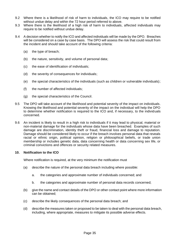- 9.2 Where there is a likelihood of risk of harm to individuals, the ICO may require to be notified without undue delay and within the 72 hour period referred to above.
- 9.3 Where there is the likelihood of a high risk of harm to individuals, affected individuals may require to be notified without undue delay.
- 9.4 A decision whether to notify the ICO and affected individuals will be made by the DPO. Breaches will be considered on a case by case basis. The DPO will assess the risk that could result from the incident and should take account of the following criteria:
	- (a) the type of breach;
	- (b) the nature, sensitivity, and volume of personal data;
	- (c) the ease of identification of individuals;
	- (d) the severity of consequences for individuals;
	- (e) the special characteristics of the individuals (such as children or vulnerable individuals);
	- (f) the number of affected individuals;
	- (g) the special characteristics of the Council.
- 9.5 The DPO will take account of the likelihood and potential severity of the impact on individuals. Knowing the likelihood and potential severity of the impact on the individual will help the DPO to determine whether notification is required to the ICO and, if necessary, to the individuals concerned.
- 9.6 An incident is likely to result in a high risk to individuals if it may lead to physical, material or non-material damage for the individuals whose data have been breached. Examples of such damage are discrimination, identity theft or fraud, financial loss and damage to reputation. Damage should be considered likely to occur if the breach involves personal data that reveals racial or ethnic origin, political opinion, religion or philosophical beliefs, or trade union membership or includes genetic data, data concerning health or data concerning sex life, or criminal convictions and offences or security related measures.

#### **10. Notification to the ICO**

Where notification is required, at the very minimum the notification must

- (a) describe the nature of the personal data breach including where possible:
	- a. the categories and approximate number of individuals concerned; and
	- b. the categories and approximate number of personal data records concerned;
- (b) give the name and contact details of the DPO or other contact point where more information can be obtained;
- (c) describe the likely consequences of the personal data breach; and
- (d) describe the measures taken or proposed to be taken to deal with the personal data breach, including, where appropriate, measures to mitigate its possible adverse effects.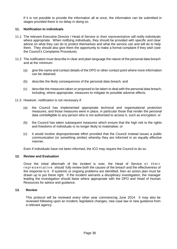If it is not possible to provide the information all at once, the information can be submitted in stages provided there is no delay in doing so.

#### **11. Notification to individuals**

- 11.1 The relevant Executive Director / Head of Service or their representative will notify individuals where appropriate. When notifying individuals, they should be provided with specific and clear advice on what they can do to protect themselves and what the service can and will do to help them. They should also give them the opportunity to make a formal complaint if they wish (see the Council's Complaints Procedure).
- 11.2 The notification must describe in clear and plain language the nature of the personal data breach and at the minimum:
	- (a) give the name and contact details of the DPO or other contact point where more information can be obtained;
	- (b) describe the likely consequences of the personal data breach; and
	- (c) describe the measures taken or proposed to be taken to deal with the personal data breach, including, where appropriate, measures to mitigate its possible adverse effects.
- 11.3 However, notification is not necessary if:
	- (a) the Council has implemented appropriate technical and organisational protection measures, and those measures were in place, in particular those that render the personal data unintelligible to any person who is not authorised to access it, such as encryption; or
	- (b) the Council has taken subsequent measures which ensure that the high risk to the rights and freedoms of individuals is no longer likely to materialise; or
	- (c) it would involve disproportionate effort provided that the Council instead issues a public communication (or something similar) whereby they are informed in an equally effective manner.

Even if individuals have not been informed, the ICO may require the Council to do so.

#### **12. Review and Evaluation**

Once the initial aftermath of the incident is over, the Head of Service or their representative should fully review both the causes of the breach and the effectiveness of the response to it. If systemic or ongoing problems are identified, then an action plan must be drawn up to put these right. If the incident warrants a disciplinary investigation, the manager leading the investigation should liaise where appropriate with the DPO and Head of Human Resources for advice and guidance.

#### **13. Review**

This protocol will be reviewed every other year commencing June 2014. It may also be reviewed following upon an incident, legislative changes, new case law or new guidance from a relevant agency.